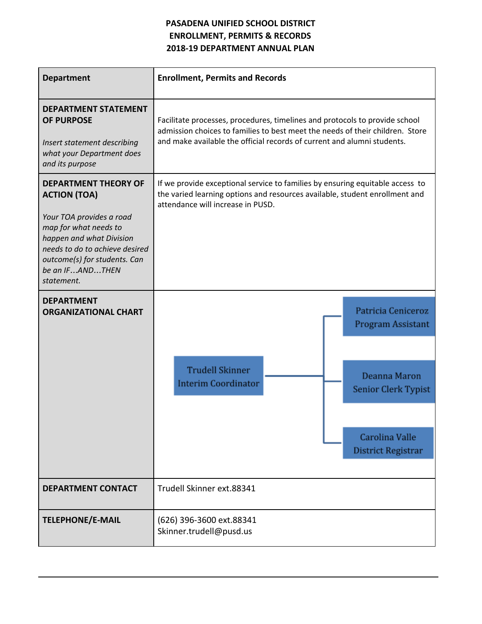## **PASADENA UNIFIED SCHOOL DISTRICT ENROLLMENT, PERMITS & RECORDS 2018-19 DEPARTMENT ANNUAL PLAN**

| <b>Department</b>                                                                                                                                                                                                                      | <b>Enrollment, Permits and Records</b>                                                                                                                                                                                                  |  |  |
|----------------------------------------------------------------------------------------------------------------------------------------------------------------------------------------------------------------------------------------|-----------------------------------------------------------------------------------------------------------------------------------------------------------------------------------------------------------------------------------------|--|--|
| <b>DEPARTMENT STATEMENT</b><br><b>OF PURPOSE</b><br>Insert statement describing<br>what your Department does<br>and its purpose                                                                                                        | Facilitate processes, procedures, timelines and protocols to provide school<br>admission choices to families to best meet the needs of their children. Store<br>and make available the official records of current and alumni students. |  |  |
| <b>DEPARTMENT THEORY OF</b><br><b>ACTION (TOA)</b><br>Your TOA provides a road<br>map for what needs to<br>happen and what Division<br>needs to do to achieve desired<br>outcome(s) for students. Can<br>be an IFANDTHEN<br>statement. | If we provide exceptional service to families by ensuring equitable access to<br>the varied learning options and resources available, student enrollment and<br>attendance will increase in PUSD.                                       |  |  |
| <b>DEPARTMENT</b><br><b>ORGANIZATIONAL CHART</b>                                                                                                                                                                                       | Patricia Ceniceroz<br>Program Assistant<br><b>Trudell Skinner</b><br>Deanna Maron<br><b>Interim Coordinator</b><br>Senior Clerk Typist<br>Carolina Valle<br><b>District Registrar</b>                                                   |  |  |
| <b>DEPARTMENT CONTACT</b>                                                                                                                                                                                                              | Trudell Skinner ext.88341                                                                                                                                                                                                               |  |  |
| <b>TELEPHONE/E-MAIL</b>                                                                                                                                                                                                                | (626) 396-3600 ext.88341<br>Skinner.trudell@pusd.us                                                                                                                                                                                     |  |  |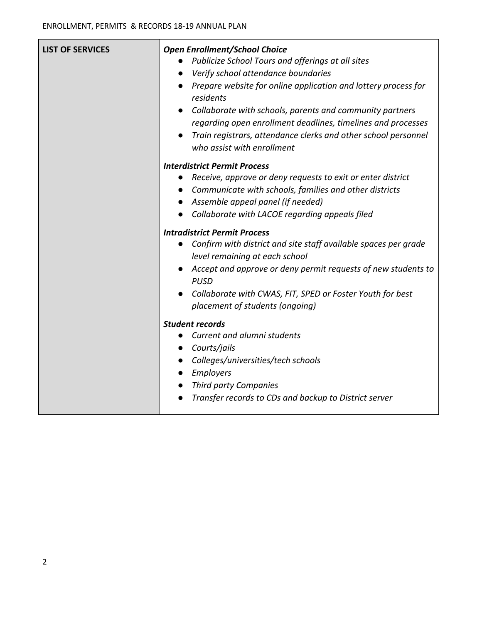| <b>LIST OF SERVICES</b> | <b>Open Enrollment/School Choice</b><br>Publicize School Tours and offerings at all sites<br>Verify school attendance boundaries<br>$\bullet$<br>Prepare website for online application and lottery process for<br>residents<br>Collaborate with schools, parents and community partners<br>$\bullet$<br>regarding open enrollment deadlines, timelines and processes<br>Train registrars, attendance clerks and other school personnel<br>$\bullet$<br>who assist with enrollment |
|-------------------------|------------------------------------------------------------------------------------------------------------------------------------------------------------------------------------------------------------------------------------------------------------------------------------------------------------------------------------------------------------------------------------------------------------------------------------------------------------------------------------|
|                         | <b>Interdistrict Permit Process</b><br>Receive, approve or deny requests to exit or enter district<br>Communicate with schools, families and other districts<br>Assemble appeal panel (if needed)<br>Collaborate with LACOE regarding appeals filed                                                                                                                                                                                                                                |
|                         | <b>Intradistrict Permit Process</b><br>Confirm with district and site staff available spaces per grade<br>level remaining at each school<br>Accept and approve or deny permit requests of new students to<br><b>PUSD</b><br>Collaborate with CWAS, FIT, SPED or Foster Youth for best<br>placement of students (ongoing)                                                                                                                                                           |
|                         | <b>Student records</b><br>Current and alumni students<br>Courts/jails<br>Colleges/universities/tech schools<br>Employers<br>Third party Companies<br>Transfer records to CDs and backup to District server<br>$\bullet$                                                                                                                                                                                                                                                            |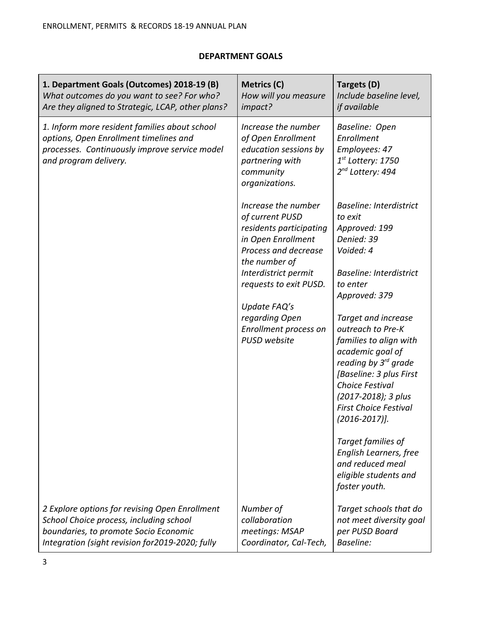## **DEPARTMENT GOALS**

| 1. Department Goals (Outcomes) 2018-19 (B)<br>What outcomes do you want to see? For who?<br>Are they aligned to Strategic, LCAP, other plans?                                          | Metrics (C)<br>How will you measure<br>impact?                                                                                                                                                     | Targets (D)<br>Include baseline level,<br>if available                                                                                                                                                                                                       |
|----------------------------------------------------------------------------------------------------------------------------------------------------------------------------------------|----------------------------------------------------------------------------------------------------------------------------------------------------------------------------------------------------|--------------------------------------------------------------------------------------------------------------------------------------------------------------------------------------------------------------------------------------------------------------|
| 1. Inform more resident families about school<br>options, Open Enrollment timelines and<br>processes. Continuously improve service model<br>and program delivery.                      | Increase the number<br>of Open Enrollment<br>education sessions by<br>partnering with<br>community<br>organizations.                                                                               | Baseline: Open<br>Enrollment<br>Employees: 47<br>$1^{st}$ Lottery: 1750<br>2 <sup>nd</sup> Lottery: 494                                                                                                                                                      |
|                                                                                                                                                                                        | Increase the number<br>of current PUSD<br>residents participating<br>in Open Enrollment<br>Process and decrease<br>the number of<br>Interdistrict permit<br>requests to exit PUSD.<br>Update FAQ's | <b>Baseline: Interdistrict</b><br>to exit<br>Approved: 199<br>Denied: 39<br>Voided: 4<br><b>Baseline: Interdistrict</b><br>to enter<br>Approved: 379                                                                                                         |
|                                                                                                                                                                                        | regarding Open<br>Enrollment process on<br>PUSD website                                                                                                                                            | Target and increase<br>outreach to Pre-K<br>families to align with<br>academic goal of<br>reading by 3 <sup>rd</sup> grade<br>[Baseline: 3 plus First<br><b>Choice Festival</b><br>(2017-2018); 3 plus<br><b>First Choice Festival</b><br>$(2016 - 2017)$ ]. |
|                                                                                                                                                                                        |                                                                                                                                                                                                    | Target families of<br>English Learners, free<br>and reduced meal<br>eligible students and<br>foster youth.                                                                                                                                                   |
| 2 Explore options for revising Open Enrollment<br>School Choice process, including school<br>boundaries, to promote Socio Economic<br>Integration (sight revision for 2019-2020; fully | Number of<br>collaboration<br>meetings: MSAP<br>Coordinator, Cal-Tech,                                                                                                                             | Target schools that do<br>not meet diversity goal<br>per PUSD Board<br><b>Baseline:</b>                                                                                                                                                                      |